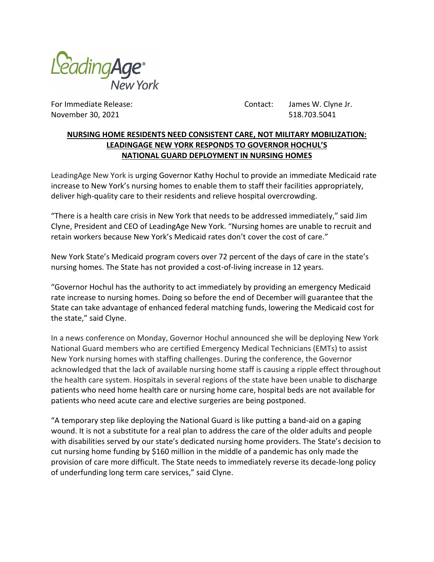

For Immediate Release: Contact: James W. Clyne Jr. November 30, 2021 **518.703.5041** 

## **NURSING HOME RESIDENTS NEED CONSISTENT CARE, NOT MILITARY MOBILIZATION: LEADINGAGE NEW YORK RESPONDS TO GOVERNOR HOCHUL'S NATIONAL GUARD DEPLOYMENT IN NURSING HOMES**

LeadingAge New York is urging Governor Kathy Hochul to provide an immediate Medicaid rate increase to New York's nursing homes to enable them to staff their facilities appropriately, deliver high-quality care to their residents and relieve hospital overcrowding.

"There is a health care crisis in New York that needs to be addressed immediately," said Jim Clyne, President and CEO of LeadingAge New York. "Nursing homes are unable to recruit and retain workers because New York's Medicaid rates don't cover the cost of care."

New York State's Medicaid program covers over 72 percent of the days of care in the state's nursing homes. The State has not provided a cost-of-living increase in 12 years.

"Governor Hochul has the authority to act immediately by providing an emergency Medicaid rate increase to nursing homes. Doing so before the end of December will guarantee that the State can take advantage of enhanced federal matching funds, lowering the Medicaid cost for the state," said Clyne.

In a news conference on Monday, Governor Hochul announced she will be deploying New York National Guard members who are certified Emergency Medical Technicians (EMTs) to assist New York nursing homes with staffing challenges. During the conference, the Governor acknowledged that the lack of available nursing home staff is causing a ripple effect throughout the health care system. Hospitals in several regions of the state have been unable to discharge patients who need home health care or nursing home care, hospital beds are not available for patients who need acute care and elective surgeries are being postponed.

"A temporary step like deploying the National Guard is like putting a band-aid on a gaping wound. It is not a substitute for a real plan to address the care of the older adults and people with disabilities served by our state's dedicated nursing home providers. The State's decision to cut nursing home funding by \$160 million in the middle of a pandemic has only made the provision of care more difficult. The State needs to immediately reverse its decade-long policy of underfunding long term care services," said Clyne.